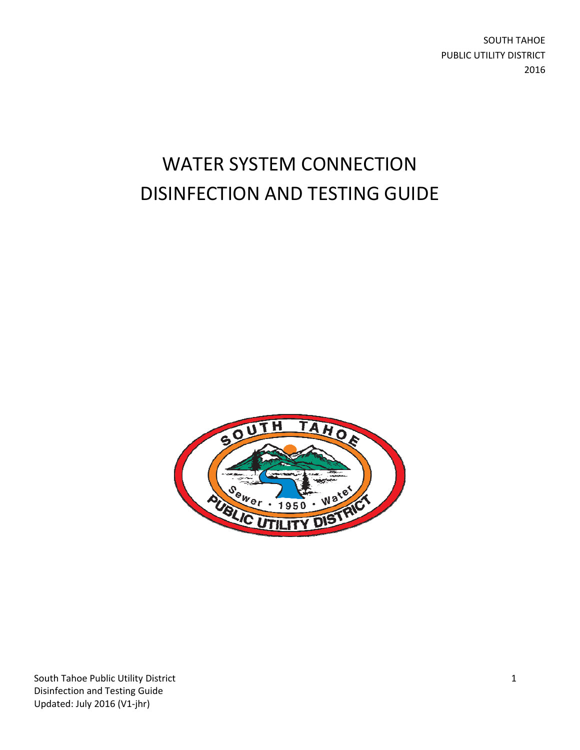SOUTH TAHOE PUBLIC UTILITY DISTRICT 2016

# WATER SYSTEM CONNECTION DISINFECTION AND TESTING GUIDE



South Tahoe Public Utility District **1** Disinfection and Testing Guide Updated: July 2016 (V1‐jhr)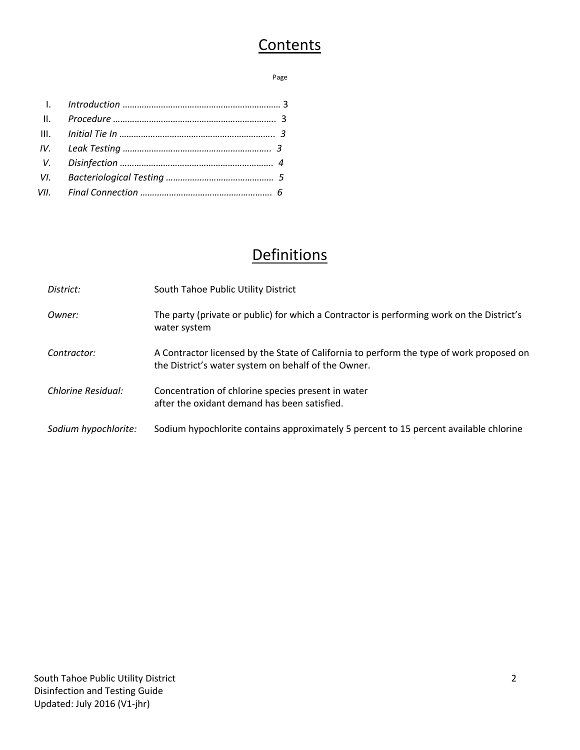## **Contents**

#### **Page 2018 Page 2018 Page 2018**

# **Definitions**

| District:            | South Tahoe Public Utility District                                                                                                             |
|----------------------|-------------------------------------------------------------------------------------------------------------------------------------------------|
| Owner:               | The party (private or public) for which a Contractor is performing work on the District's<br>water system                                       |
| Contractor:          | A Contractor licensed by the State of California to perform the type of work proposed on<br>the District's water system on behalf of the Owner. |
| Chlorine Residual:   | Concentration of chlorine species present in water<br>after the oxidant demand has been satisfied.                                              |
| Sodium hypochlorite: | Sodium hypochlorite contains approximately 5 percent to 15 percent available chlorine                                                           |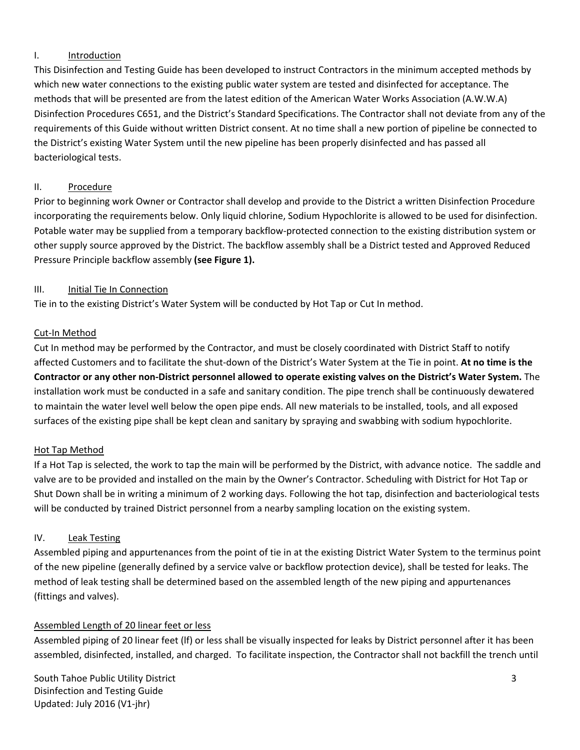#### I. Introduction

This Disinfection and Testing Guide has been developed to instruct Contractors in the minimum accepted methods by which new water connections to the existing public water system are tested and disinfected for acceptance. The methods that will be presented are from the latest edition of the American Water Works Association (A.W.W.A) Disinfection Procedures C651, and the District's Standard Specifications. The Contractor shall not deviate from any of the requirements of this Guide without written District consent. At no time shall a new portion of pipeline be connected to the District's existing Water System until the new pipeline has been properly disinfected and has passed all bacteriological tests.

#### II. Procedure

Prior to beginning work Owner or Contractor shall develop and provide to the District a written Disinfection Procedure incorporating the requirements below. Only liquid chlorine, Sodium Hypochlorite is allowed to be used for disinfection. Potable water may be supplied from a temporary backflow‐protected connection to the existing distribution system or other supply source approved by the District. The backflow assembly shall be a District tested and Approved Reduced Pressure Principle backflow assembly **(see Figure 1).**

#### III. Initial Tie In Connection

Tie in to the existing District's Water System will be conducted by Hot Tap or Cut In method.

#### Cut‐In Method

Cut In method may be performed by the Contractor, and must be closely coordinated with District Staff to notify affected Customers and to facilitate the shut‐down of the District's Water System at the Tie in point. **At no time is the** Contractor or any other non-District personnel allowed to operate existing valves on the District's Water System. The installation work must be conducted in a safe and sanitary condition. The pipe trench shall be continuously dewatered to maintain the water level well below the open pipe ends. All new materials to be installed, tools, and all exposed surfaces of the existing pipe shall be kept clean and sanitary by spraying and swabbing with sodium hypochlorite.

#### Hot Tap Method

If a Hot Tap is selected, the work to tap the main will be performed by the District, with advance notice. The saddle and valve are to be provided and installed on the main by the Owner's Contractor. Scheduling with District for Hot Tap or Shut Down shall be in writing a minimum of 2 working days. Following the hot tap, disinfection and bacteriological tests will be conducted by trained District personnel from a nearby sampling location on the existing system.

#### IV. Leak Testing

Assembled piping and appurtenances from the point of tie in at the existing District Water System to the terminus point of the new pipeline (generally defined by a service valve or backflow protection device), shall be tested for leaks. The method of leak testing shall be determined based on the assembled length of the new piping and appurtenances (fittings and valves).

#### Assembled Length of 20 linear feet or less

Assembled piping of 20 linear feet (lf) or less shall be visually inspected for leaks by District personnel after it has been assembled, disinfected, installed, and charged. To facilitate inspection, the Contractor shall not backfill the trench until

South Tahoe Public Utility District 33 Disinfection and Testing Guide Updated: July 2016 (V1‐jhr)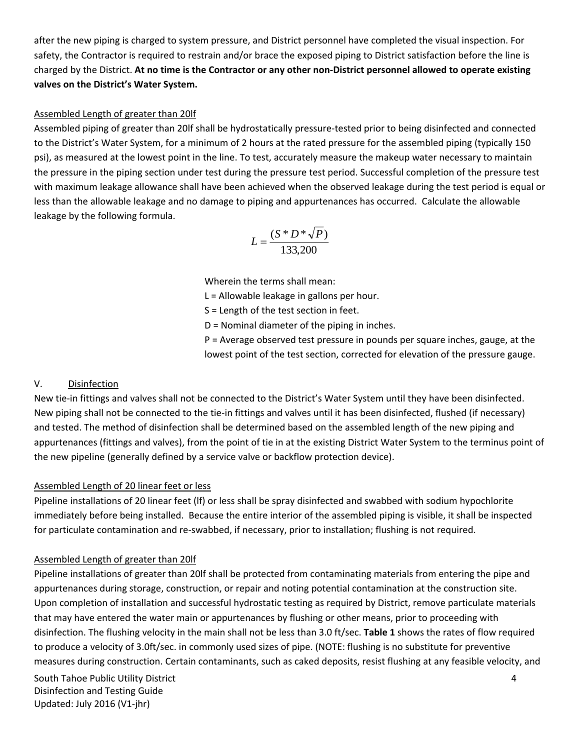after the new piping is charged to system pressure, and District personnel have completed the visual inspection. For safety, the Contractor is required to restrain and/or brace the exposed piping to District satisfaction before the line is charged by the District. At no time is the Contractor or any other non-District personnel allowed to operate existing **valves on the District's Water System.**

#### Assembled Length of greater than 20lf

Assembled piping of greater than 20lf shall be hydrostatically pressure‐tested prior to being disinfected and connected to the District's Water System, for a minimum of 2 hours at the rated pressure for the assembled piping (typically 150 psi), as measured at the lowest point in the line. To test, accurately measure the makeup water necessary to maintain the pressure in the piping section under test during the pressure test period. Successful completion of the pressure test with maximum leakage allowance shall have been achieved when the observed leakage during the test period is equal or less than the allowable leakage and no damage to piping and appurtenances has occurred. Calculate the allowable leakage by the following formula.

$$
L = \frac{(S * D * \sqrt{P})}{133,200}
$$

Wherein the terms shall mean:

L = Allowable leakage in gallons per hour.

S = Length of the test section in feet.

D = Nominal diameter of the piping in inches.

P = Average observed test pressure in pounds per square inches, gauge, at the lowest point of the test section, corrected for elevation of the pressure gauge.

#### V. Disinfection

New tie-in fittings and valves shall not be connected to the District's Water System until they have been disinfected. New piping shall not be connected to the tie‐in fittings and valves until it has been disinfected, flushed (if necessary) and tested. The method of disinfection shall be determined based on the assembled length of the new piping and appurtenances (fittings and valves), from the point of tie in at the existing District Water System to the terminus point of the new pipeline (generally defined by a service valve or backflow protection device).

#### Assembled Length of 20 linear feet or less

Pipeline installations of 20 linear feet (lf) or less shall be spray disinfected and swabbed with sodium hypochlorite immediately before being installed. Because the entire interior of the assembled piping is visible, it shall be inspected for particulate contamination and re-swabbed, if necessary, prior to installation; flushing is not required.

#### Assembled Length of greater than 20lf

Pipeline installations of greater than 20lf shall be protected from contaminating materials from entering the pipe and appurtenances during storage, construction, or repair and noting potential contamination at the construction site. Upon completion of installation and successful hydrostatic testing as required by District, remove particulate materials that may have entered the water main or appurtenances by flushing or other means, prior to proceeding with disinfection. The flushing velocity in the main shall not be less than 3.0 ft/sec. **Table 1** shows the rates of flow required to produce a velocity of 3.0ft/sec. in commonly used sizes of pipe. (NOTE: flushing is no substitute for preventive measures during construction. Certain contaminants, such as caked deposits, resist flushing at any feasible velocity, and

South Tahoe Public Utility District 4 Disinfection and Testing Guide Updated: July 2016 (V1‐jhr)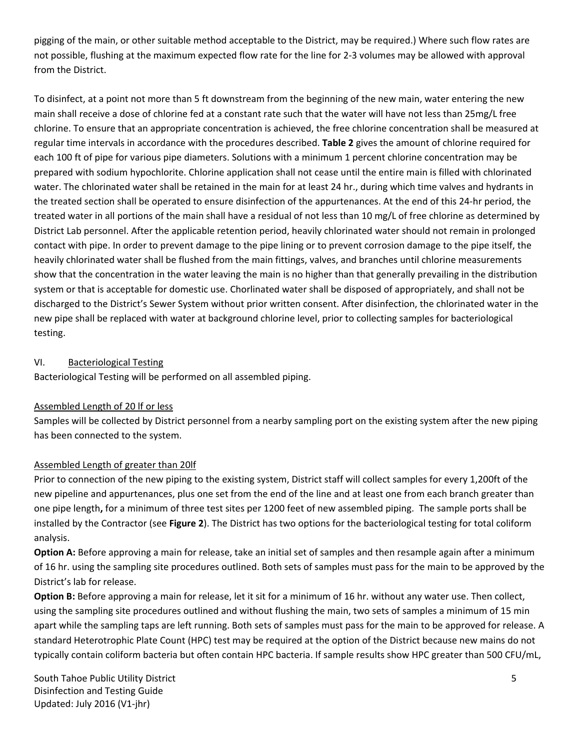pigging of the main, or other suitable method acceptable to the District, may be required.) Where such flow rates are not possible, flushing at the maximum expected flow rate for the line for 2‐3 volumes may be allowed with approval from the District.

To disinfect, at a point not more than 5 ft downstream from the beginning of the new main, water entering the new main shall receive a dose of chlorine fed at a constant rate such that the water will have not less than 25mg/L free chlorine. To ensure that an appropriate concentration is achieved, the free chlorine concentration shall be measured at regular time intervals in accordance with the procedures described. **Table 2** gives the amount of chlorine required for each 100 ft of pipe for various pipe diameters. Solutions with a minimum 1 percent chlorine concentration may be prepared with sodium hypochlorite. Chlorine application shall not cease until the entire main is filled with chlorinated water. The chlorinated water shall be retained in the main for at least 24 hr., during which time valves and hydrants in the treated section shall be operated to ensure disinfection of the appurtenances. At the end of this 24‐hr period, the treated water in all portions of the main shall have a residual of not less than 10 mg/L of free chlorine as determined by District Lab personnel. After the applicable retention period, heavily chlorinated water should not remain in prolonged contact with pipe. In order to prevent damage to the pipe lining or to prevent corrosion damage to the pipe itself, the heavily chlorinated water shall be flushed from the main fittings, valves, and branches until chlorine measurements show that the concentration in the water leaving the main is no higher than that generally prevailing in the distribution system or that is acceptable for domestic use. Chorlinated water shall be disposed of appropriately, and shall not be discharged to the District's Sewer System without prior written consent. After disinfection, the chlorinated water in the new pipe shall be replaced with water at background chlorine level, prior to collecting samples for bacteriological testing.

#### VI. Bacteriological Testing

Bacteriological Testing will be performed on all assembled piping.

#### Assembled Length of 20 lf or less

Samples will be collected by District personnel from a nearby sampling port on the existing system after the new piping has been connected to the system.

#### Assembled Length of greater than 20lf

Prior to connection of the new piping to the existing system, District staff will collect samples for every 1,200ft of the new pipeline and appurtenances, plus one set from the end of the line and at least one from each branch greater than one pipe length**,** for a minimum of three test sites per 1200 feet of new assembled piping. The sample ports shall be installed by the Contractor (see **Figure 2**). The District has two options for the bacteriological testing for total coliform analysis.

**Option A:** Before approving a main for release, take an initial set of samples and then resample again after a minimum of 16 hr. using the sampling site procedures outlined. Both sets of samples must pass for the main to be approved by the District's lab for release.

**Option B:** Before approving a main for release, let it sit for a minimum of 16 hr. without any water use. Then collect, using the sampling site procedures outlined and without flushing the main, two sets of samples a minimum of 15 min apart while the sampling taps are left running. Both sets of samples must pass for the main to be approved for release. A standard Heterotrophic Plate Count (HPC) test may be required at the option of the District because new mains do not typically contain coliform bacteria but often contain HPC bacteria. If sample results show HPC greater than 500 CFU/mL,

South Tahoe Public Utility District 5 Disinfection and Testing Guide Updated: July 2016 (V1‐jhr)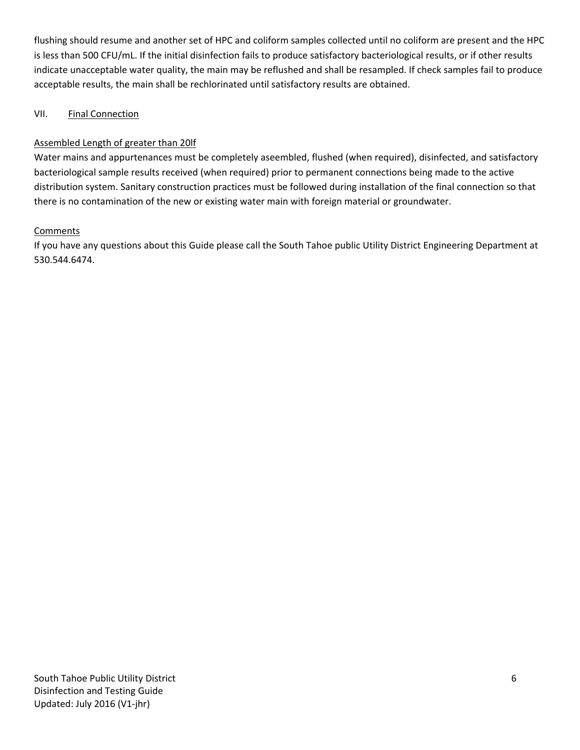flushing should resume and another set of HPC and coliform samples collected until no coliform are present and the HPC is less than 500 CFU/mL. If the initial disinfection fails to produce satisfactory bacteriological results, or if other results indicate unacceptable water quality, the main may be reflushed and shall be resampled. If check samples fail to produce acceptable results, the main shall be rechlorinated until satisfactory results are obtained.

#### VII. Final Connection

#### Assembled Length of greater than 20lf

Water mains and appurtenances must be completely aseembled, flushed (when required), disinfected, and satisfactory bacteriological sample results received (when required) prior to permanent connections being made to the active distribution system. Sanitary construction practices must be followed during installation of the final connection so that there is no contamination of the new or existing water main with foreign material or groundwater.

#### Comments

If you have any questions about this Guide please call the South Tahoe public Utility District Engineering Department at 530.544.6474.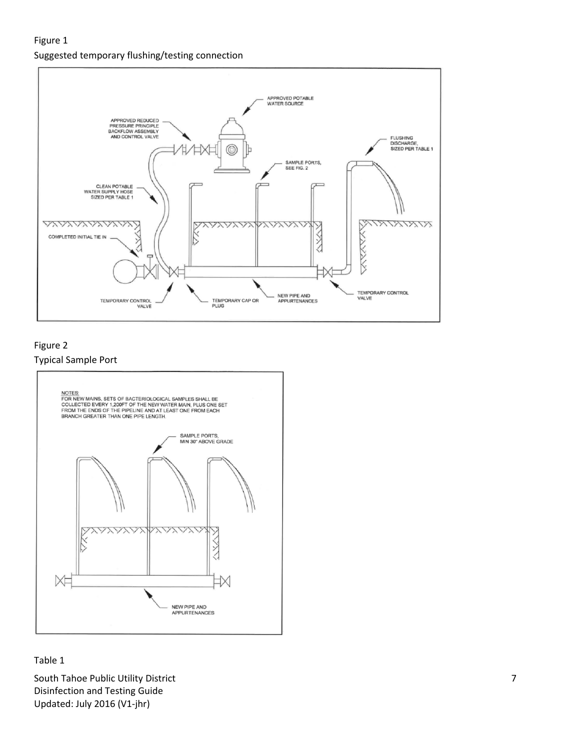#### Figure 1 Suggested temporary flushing/testing connection



### Figure 2





#### Table 1

South Tahoe Public Utility District **Table 2018** 7 Disinfection and Testing Guide Updated: July 2016 (V1‐jhr)